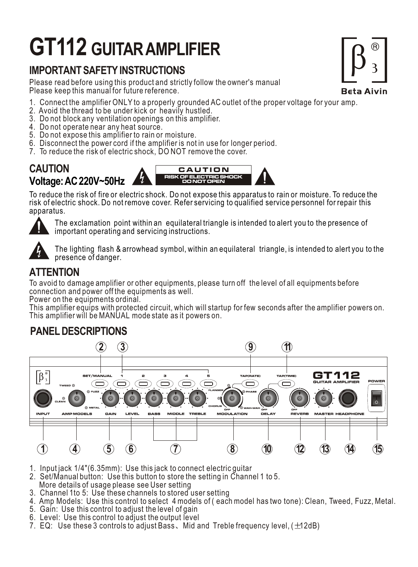# **GT112 GUITAR AMPLIFIER**

## **IMPORTANT SAFETY INSTRUCTIONS**

Please read before using this product and strictly follow the owner's manual Please keep this manual for future reference.

- 1. Connect the amplifier ONLY to a properly grounded AC outlet of the proper voltage for your amp.
- 2. Avoid the thread to be under kick or heavily hustled.
- 3. Do not block any ventilation openings on this amplifier.
- 4. Do not operate near any heat source.
- 5. Do not expose this amplifier to rain or moisture.
- 6. Disconnect the power cord if the amplifier is not in use for longer period.
- 7. To reduce the risk of electric shock, DO NOT remove the cover.



To reduce the risk of fire or electric shock. Do not expose this apparatus to rain or moisture. To reduce the risk of electric shock. Do not remove cover. Refer servicing to qualified service personnel for repair this apparatus.



The exclamation point within an equilateral triangle is intended to alert you to the presence of important operating and servicing instructions.



The lighting flash & arrowhead symbol, within an equilateral triangle, is intended to alert you to the presence of danger.

## **ATTENTION**

To avoid to damage amplifier or other equipments, please turn off the level of all equipments before connection and power off the equipments as well.

Power on the equipments ordinal.

This amplifier equips with protected circuit, which will startup for few seconds after the amplifier powers on. This amplifier will be MANUAL mode state as it powers on.

## **PANEL DESCRIPTIONS**



- 1. Input jack 1/4"(6.35mm): Use this jack to connect electric guitar
- 2. Set/Manual button: Use this button to store the setting in Channel 1 to 5.
- More details of usage please see User setting
- 3. Channel 1to 5: Use these channels to stored user setting
- 4. Amp Models: Use this control to select 4 models of ( each model has two tone): Clean, Tweed, Fuzz, Metal.
- 5. Gain: Use this control to adjust the level of gain
- 6. Level: Use this control to adjust the output level
- 7. EQ: Use these 3 controls to adjust Bass, Mid and Treble frequency level,  $(\pm 12dB)$